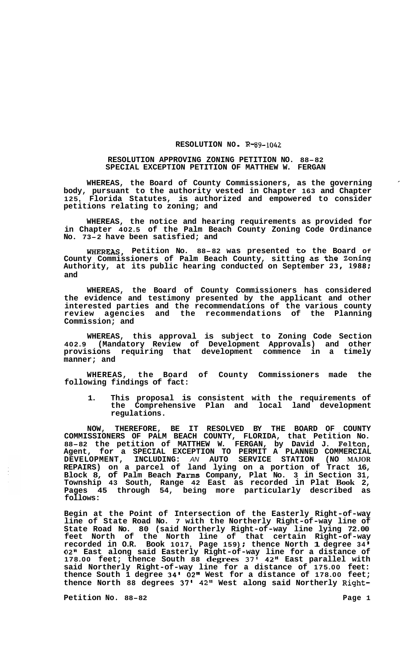## **RESOLUTION NO** - **R-89-1042**

## **RESOLUTION APPROVING ZONING PETITION NO. 88-82 SPECIAL EXCEPTION PETITION OF MATTHEW W. FERGAN**

**WHEREAS, the Board of County Commissioners, as the governing body, pursuant to the authority vested in Chapter 163 and Chapter 125, Florida Statutes, is authorized and empowered to consider petitions relating to zoning; and** 

**WHEREAS, the notice and hearing requirements as provided for in Chapter 402.5 of the Palm Beach County Zoning Code Ordinance No. 73-2 have been satisfied; and** 

**WHEREAS, Petition No. 88-82 was presented to the Board Of County Commissioners of Palm Beach County, sitting as the Zoning Authority, at its public hearing conducted on September 23, 1988; and** 

**WHEREAS, the Board of County Commissioners has considered the evidence and testimony presented by the applicant and other interested parties and the recommendations of the various county review agencies and the recommendations of the Planning Commission; and** 

**WHEREAS, this approval is subject to Zoning Code Section 402.9 (Mandatory Review of Development Approvals) and other provisions requiring that development commence in a timely manner; and** 

**WHEREAS, the Board of County Commissioners made the following findings of fact:** 

**1. This proposal is consistent with the requirements of the Comprehensive Plan and local land development regulations.** 

**NOW, THEREFORE, BE IT RESOLVED BY THE BOARD OF COUNTY COMMISSIONERS OF PALM BEACH COUNTY, FLORIDA, that Petition No. 88-82 the petition of MATTHEW W. FERGAN, by David J. Felton, Agent, for a SPECIAL EXCEPTION TO PERMIT A PLANNED COMMERCIAL DEVELOPMENT, INCLUDING:** *AN* **AUTO SERVICE STATION (NO MAJOR REPAIRS) on a parcel of land lying on a portion of Tract 16, Block 8, of Palm Beach Farms Company, Plat No. 3 in Section 31, Township 43 South, Range 42 East as recorded in Plat Book 2, Pages 45 through 54, being more particularly described as follows:** 

**Begin at the Point of Intersection of the Easterly Right-of-way line of State Road No. 7 with the Northerly Right-of-way line of State Road No. 80 (said Northerly Right-of-way line lying 72.00 feet North of the North line of that certain Right-of-way recorded in O.R. Book 1017, Page 159)** ; **thence North 1 degree 34 I 02" East along said Easterly Right-of-way line for a distance of 178.00 feet; thence South 88 degrees 37' 42" East parallel with said Northerly Right-of-way line for a distance of 175.00 feet: thence South 1 degree 34' 02" West for a distance of 178.00 feet; thence North 88 degrees 37l 42" West along said Northerly Right-**

**Petition No. 88-82 Page 1**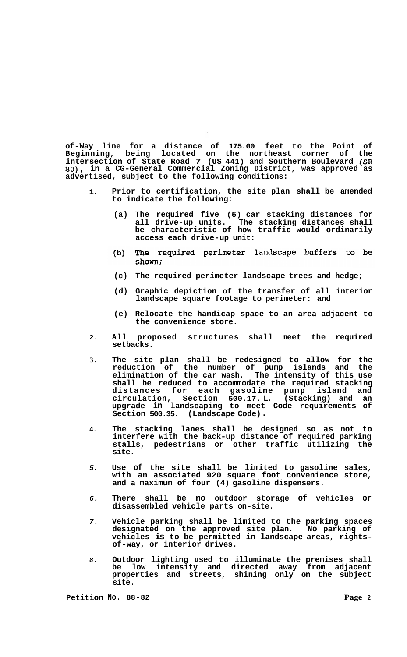**of-Way line for a distance of 175.00 feet to the Point of Beginning, being located on the northeast corner of the intersection of State Road 7 (US 441) and Southern Boulevard (SR**  *80),* **in a CG-General Commercial Zoning District, was approved as advertised, subject to the following conditions:** 

- **1. Prior to certification, the site plan shall be amended to indicate the following:** 
	- **(a) The required five (5) car stacking distances for all drive-up units. The stacking distances shall be characteristic of how traffic would ordinarily access each drive-up unit:**
	- The required perimeter landscape buffers to be  $(b)$ shown:
	- **(c) The required perimeter landscape trees and hedge;**
	- **(d) Graphic depiction of the transfer of all interior landscape square footage to perimeter: and**
	- **(e) Relocate the handicap space to an area adjacent to the convenience store.**
- **2. All proposed structures shall meet the required setbacks.**
- **3. The site plan shall be redesigned to allow for the reduction of the number of pump islands and the elimination of the car wash. The intensity of this use shall be reduced to accommodate the required stacking distances for each gasoline pump island and circulation, Section 500.17. L. (Stacking) and an upgrade in landscaping to meet Code requirements of Section 500.35. (Landscape Code)** .
- **4. The stacking lanes shall be designed so as not to interfere with the back-up distance of required parking stalls, pedestrians or other traffic utilizing the site.**
- *5.*  **Use of the site shall be limited to gasoline sales, with an associated 920 square foot convenience store, and a maximum of four (4) gasoline dispensers.**
- *6.*  **There shall be no outdoor storage of vehicles or disassembled vehicle parts on-site.**
- *7.*  **Vehicle parking shall be limited to the parking spaces designated on the approved site plan. No parking of vehicles is to be permitted in landscape areas, rights- of-way, or interior drives.**
- *8.*  **Outdoor lighting used to illuminate the premises shall be low intensity and directed away from adjacent properties and streets, shining only on the subject site.**

**Petition No. 88-82 Page 2**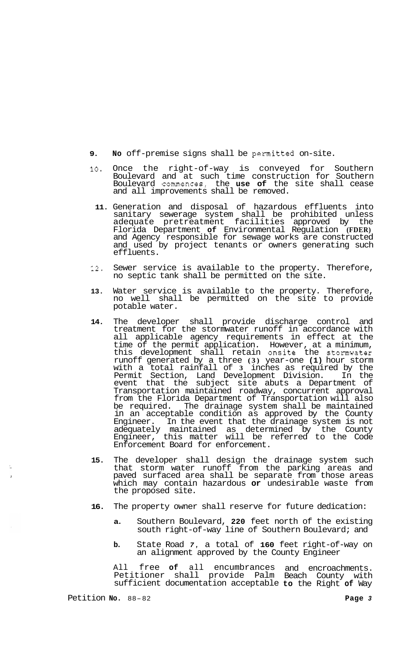- **9. No** off-premise signs shall be permitted on-site.
- **10.** Once the right-of-way is conveyed for Southern Boulevard and at such time construction for Southern Boulevard commences, the **use of** the site shall cease and all improvements shall be removed.
	- **11.** Generation and disposal of hazardous effluents into sanitary sewerage system shall be prohibited unless adequate pretreatment facilities approved by the Florida Department **of** Environmental Regulation **(FDER)**  and Agency responsible for sewage works are constructed and used by project tenants or owners generating such effluents.
- **12.** Sewer service is available to the property. Therefore, no septic tank shall be permitted on the site.
- **13.** Water service is available to the property. Therefore, no well shall be permitted on the site to provide potable water.
- **14.** The developer shall provide discharge control and treatment for the stormwater runoff in accordance with all applicable agency requirements in effect at the time of the permit application. However, at a minimum, this development shall retain onsite the stomwater runoff generated by a three **(3)** year-one **(1)** hour storm with a total rainfall of **3** inches as required by the Permit Section, Land Development Division. In the event that the subject site abuts a Department of Transportation maintained roadway, concurrent approval from the Florida Department of Transportation will also be required. The drainage system shall be maintained in an acceptable condition as approved by the County Engineer. In the event that the drainage system is not adequately maintained as determined by the County Engineer, this matter will be referred to the Code Enforcement Board for enforcement.
- **15.** The developer shall design the drainage system such that storm water runoff from the parking areas and paved surfaced area shall be separate from those areas which may contain hazardous **or** undesirable waste from the proposed site.
- **16.** The property owner shall reserve for future dedication:
	- **a.** Southern Boulevard, **220** feet north of the existing south right-of-way line of Southern Boulevard; and
	- **b.** State Road *7,* a total of **160** feet right-of-way on an alignment approved by the County Engineer

All free **of** all encumbrances and encroachments. Petitioner shall provide Palm Beach County with sufficient documentation acceptable **to** the Right **of** Way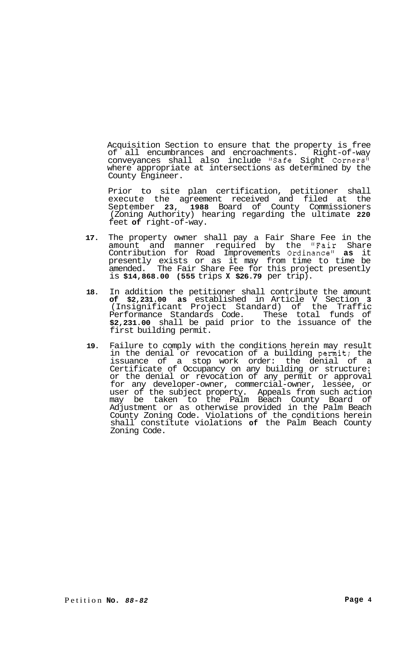Acquisition Section to ensure that the property is free of all encumbrances and encroachments. Right-of-way conveyances shall also include "Safe Sight Corners" where appropriate at intersections as determined by the County Engineer.

Prior to site plan certification, petitioner shall execute the agreement received and filed at the September **23, 1988** Board of County Commissioners (Zoning Authority) hearing regarding the ultimate **220**  feet **of** right-of-way.

- **17.** The property owner shall pay a Fair Share Fee in the amount and manner required by the "Fair Share Contribution for Road Improvements Ordinance" as it presently exists or as it may from time to time be amended. The Fair Share Fee for this project presently is **\$14,868.00 (555** trips **X \$26.79** per trip).
- **18.** In addition the petitioner shall contribute the amount **of \$2,231.00 as** established in Article V Section **3**  (Insignificant Project Standard) of the Traffic Performance Standards Code. These total funds of **\$2,231.00** shall be paid prior to the issuance of the first building permit.
- **19.** Failure to comply with the conditions herein may result in the denial or revocation of a building permit: the issuance of a stop work order: the denial of a Certificate of Occupancy on any building or structure: or the denial or revocation of any permit or approval for any developer-owner, commercial-owner, lessee, or user of the subject property. Appeals from such action may be taken to the Palm Beach County Board of Adjustment or as otherwise provided in the Palm Beach County Zoning Code. Violations of the conditions herein shall constitute violations **of** the Palm Beach County Zoning Code.